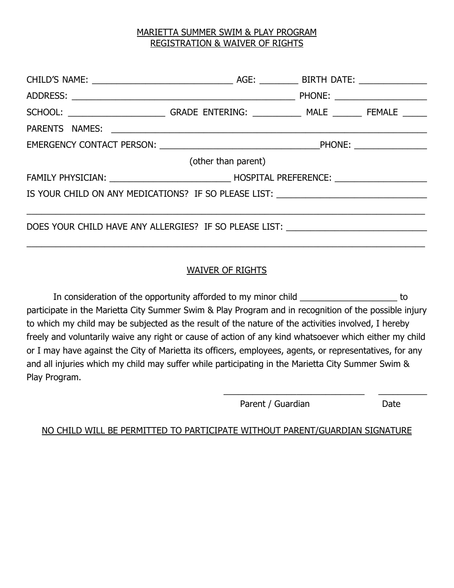## MARIETTA SUMMER SWIM & PLAY PROGRAM REGISTRATION & WAIVER OF RIGHTS

| (other than parent)                                                              |  |  |  |  |  |
|----------------------------------------------------------------------------------|--|--|--|--|--|
|                                                                                  |  |  |  |  |  |
| IS YOUR CHILD ON ANY MEDICATIONS? IF SO PLEASE LIST: ___________________________ |  |  |  |  |  |
|                                                                                  |  |  |  |  |  |
| DOES YOUR CHILD HAVE ANY ALLERGIES? IF SO PLEASE LIST: _________________________ |  |  |  |  |  |
|                                                                                  |  |  |  |  |  |

## WAIVER OF RIGHTS

In consideration of the opportunity afforded to my minor child \_\_\_\_\_\_\_\_\_\_\_\_\_\_\_\_\_\_\_\_\_\_\_ to participate in the Marietta City Summer Swim & Play Program and in recognition of the possible injury to which my child may be subjected as the result of the nature of the activities involved, I hereby freely and voluntarily waive any right or cause of action of any kind whatsoever which either my child or I may have against the City of Marietta its officers, employees, agents, or representatives, for any and all injuries which my child may suffer while participating in the Marietta City Summer Swim & Play Program.

Parent / Guardian Date

\_\_\_\_\_\_\_\_\_\_\_\_\_\_\_\_\_\_\_\_\_\_\_\_\_\_\_\_\_ \_\_\_\_\_\_\_\_\_\_

NO CHILD WILL BE PERMITTED TO PARTICIPATE WITHOUT PARENT/GUARDIAN SIGNATURE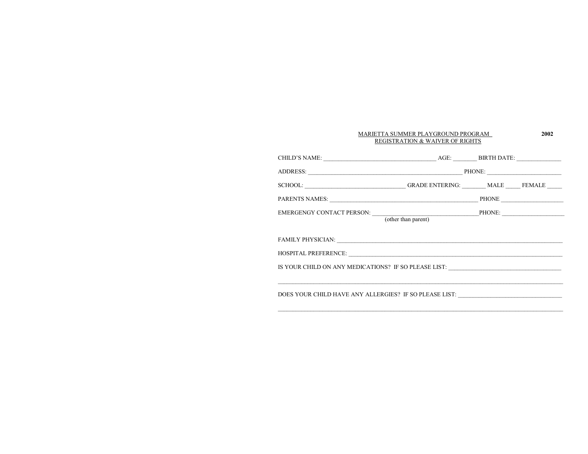| MARIETTA SUMMER PLAYGROUND PROGRAM<br>REGISTRATION & WAIVER OF RIGHTS                                                                                                                                                          |  |  | 2002 |
|--------------------------------------------------------------------------------------------------------------------------------------------------------------------------------------------------------------------------------|--|--|------|
|                                                                                                                                                                                                                                |  |  |      |
|                                                                                                                                                                                                                                |  |  |      |
| SCHOOL: _____________________________GRADE ENTERING: _______ MALE _____ FEMALE _____                                                                                                                                           |  |  |      |
|                                                                                                                                                                                                                                |  |  |      |
|                                                                                                                                                                                                                                |  |  |      |
| FAMILY PHYSICIAN: New York Channel And Channel And Channel And Channel And Channel And Channel And Channel And Channel And Channel And Channel And Channel And Channel And Channel And Channel And Channel And Channel And Cha |  |  |      |
|                                                                                                                                                                                                                                |  |  |      |
| IS YOUR CHILD ON ANY MEDICATIONS? IF SO PLEASE LIST: ____________________________                                                                                                                                              |  |  |      |
| DOES YOUR CHILD HAVE ANY ALLERGIES? IF SO PLEASE LIST: __________________________                                                                                                                                              |  |  |      |